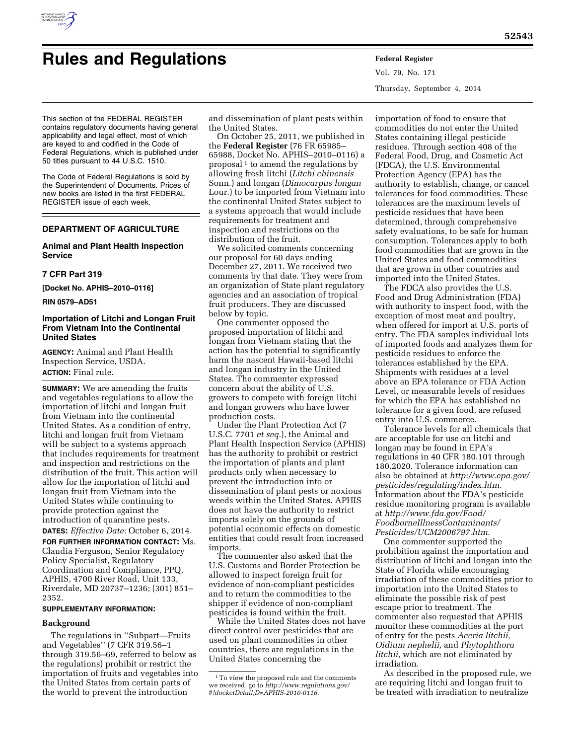

Vol. 79, No. 171 Thursday, September 4, 2014

This section of the FEDERAL REGISTER contains regulatory documents having general applicability and legal effect, most of which are keyed to and codified in the Code of Federal Regulations, which is published under 50 titles pursuant to 44 U.S.C. 1510.

The Code of Federal Regulations is sold by the Superintendent of Documents. Prices of new books are listed in the first FEDERAL REGISTER issue of each week.

# **DEPARTMENT OF AGRICULTURE**

## **Animal and Plant Health Inspection Service**

## **7 CFR Part 319**

**[Docket No. APHIS–2010–0116]** 

**RIN 0579–AD51** 

## **Importation of Litchi and Longan Fruit From Vietnam Into the Continental United States**

**AGENCY:** Animal and Plant Health Inspection Service, USDA. **ACTION:** Final rule.

**SUMMARY:** We are amending the fruits and vegetables regulations to allow the importation of litchi and longan fruit from Vietnam into the continental United States. As a condition of entry, litchi and longan fruit from Vietnam will be subject to a systems approach that includes requirements for treatment and inspection and restrictions on the distribution of the fruit. This action will allow for the importation of litchi and longan fruit from Vietnam into the United States while continuing to provide protection against the introduction of quarantine pests. **DATES:** *Effective Date:* October 6, 2014.

**FOR FURTHER INFORMATION CONTACT:** Ms. Claudia Ferguson, Senior Regulatory Policy Specialist, Regulatory Coordination and Compliance, PPQ, APHIS, 4700 River Road, Unit 133, Riverdale, MD 20737–1236; (301) 851– 2352.

## **SUPPLEMENTARY INFORMATION:**

### **Background**

The regulations in ''Subpart—Fruits and Vegetables'' (7 CFR 319.56–1 through 319.56–69, referred to below as the regulations) prohibit or restrict the importation of fruits and vegetables into the United States from certain parts of the world to prevent the introduction

and dissemination of plant pests within the United States.

On October 25, 2011, we published in the **Federal Register** (76 FR 65985– 65988, Docket No. APHIS–2010–0116) a proposal<sup>1</sup> to amend the regulations by allowing fresh litchi (*Litchi chinensis*  Sonn.) and longan (*Dimocarpus longan*  Lour.) to be imported from Vietnam into the continental United States subject to a systems approach that would include requirements for treatment and inspection and restrictions on the distribution of the fruit.

We solicited comments concerning our proposal for 60 days ending December 27, 2011. We received two comments by that date. They were from an organization of State plant regulatory agencies and an association of tropical fruit producers. They are discussed below by topic.

One commenter opposed the proposed importation of litchi and longan from Vietnam stating that the action has the potential to significantly harm the nascent Hawaii-based litchi and longan industry in the United States. The commenter expressed concern about the ability of U.S. growers to compete with foreign litchi and longan growers who have lower production costs.

Under the Plant Protection Act (7 U.S.C. 7701 *et seq.*), the Animal and Plant Health Inspection Service (APHIS) has the authority to prohibit or restrict the importation of plants and plant products only when necessary to prevent the introduction into or dissemination of plant pests or noxious weeds within the United States. APHIS does not have the authority to restrict imports solely on the grounds of potential economic effects on domestic entities that could result from increased imports.

The commenter also asked that the U.S. Customs and Border Protection be allowed to inspect foreign fruit for evidence of non-compliant pesticides and to return the commodities to the shipper if evidence of non-compliant pesticides is found within the fruit.

While the United States does not have direct control over pesticides that are used on plant commodities in other countries, there are regulations in the United States concerning the

importation of food to ensure that commodities do not enter the United States containing illegal pesticide residues. Through section 408 of the Federal Food, Drug, and Cosmetic Act (FDCA), the U.S. Environmental Protection Agency (EPA) has the authority to establish, change, or cancel tolerances for food commodities. These tolerances are the maximum levels of pesticide residues that have been determined, through comprehensive safety evaluations, to be safe for human consumption. Tolerances apply to both food commodities that are grown in the United States and food commodities that are grown in other countries and imported into the United States.

The FDCA also provides the U.S. Food and Drug Administration (FDA) with authority to inspect food, with the exception of most meat and poultry, when offered for import at U.S. ports of entry. The FDA samples individual lots of imported foods and analyzes them for pesticide residues to enforce the tolerances established by the EPA. Shipments with residues at a level above an EPA tolerance or FDA Action Level, or measurable levels of residues for which the EPA has established no tolerance for a given food, are refused entry into U.S. commerce.

Tolerance levels for all chemicals that are acceptable for use on litchi and longan may be found in EPA's regulations in 40 CFR 180.101 through 180.2020. Tolerance information can also be obtained at *[http://www.epa.gov/](http://www.epa.gov/pesticides/regulating/index.htm) [pesticides/regulating/index.htm](http://www.epa.gov/pesticides/regulating/index.htm)*. Information about the FDA's pesticide residue monitoring program is available at *[http://www.fda.gov/Food/](http://www.fda.gov/Food/FoodborneIllnessContaminants/Pesticides/UCM2006797.htm) [FoodborneIllnessContaminants/](http://www.fda.gov/Food/FoodborneIllnessContaminants/Pesticides/UCM2006797.htm) [Pesticides/UCM2006797.htm](http://www.fda.gov/Food/FoodborneIllnessContaminants/Pesticides/UCM2006797.htm)*.

One commenter supported the prohibition against the importation and distribution of litchi and longan into the State of Florida while encouraging irradiation of these commodities prior to importation into the United States to eliminate the possible risk of pest escape prior to treatment. The commenter also requested that APHIS monitor these commodities at the port of entry for the pests *Aceria litchii, Oidium nephelii,* and *Phytophthora litchii,* which are not eliminated by irradiation.

As described in the proposed rule, we are requiring litchi and longan fruit to be treated with irradiation to neutralize

<sup>1</sup>To view the proposed rule and the comments we received, go to *[http://www.regulations.gov/](http://www.regulations.gov/#!docketDetail;D=APHIS-2010-0116) [#!docketDetail;D=APHIS-2010-0116](http://www.regulations.gov/#!docketDetail;D=APHIS-2010-0116)*.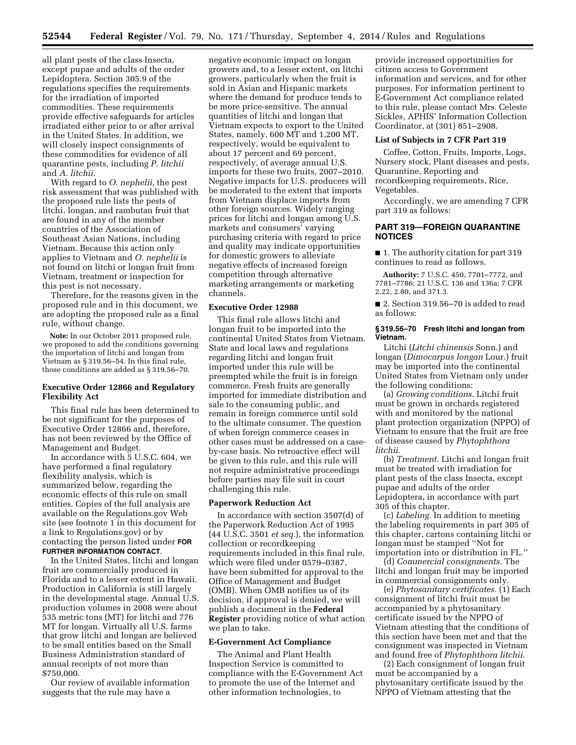all plant pests of the class Insecta, except pupae and adults of the order Lepidoptera. Section 305.9 of the regulations specifies the requirements for the irradiation of imported commodities. These requirements provide effective safeguards for articles irradiated either prior to or after arrival in the United States. In addition, we will closely inspect consignments of these commodities for evidence of all quarantine pests, including *P. litchii*  and *A. litchii*.

With regard to *O. nephelii,* the pest risk assessment that was published with the proposed rule lists the pests of litchi, longan, and rambutan fruit that are found in any of the member countries of the Association of Southeast Asian Nations, including Vietnam. Because this action only applies to Vietnam and *O. nephelii* is not found on litchi or longan fruit from Vietnam, treatment or inspection for this pest is not necessary.

Therefore, for the reasons given in the proposed rule and in this document, we are adopting the proposed rule as a final rule, without change.

**Note:** In our October 2011 proposed rule, we proposed to add the conditions governing the importation of litchi and longan from Vietnam as § 319.56–54. In this final rule, those conditions are added as § 319.56–70.

## **Executive Order 12866 and Regulatory Flexibility Act**

This final rule has been determined to be not significant for the purposes of Executive Order 12866 and, therefore, has not been reviewed by the Office of Management and Budget.

In accordance with 5 U.S.C. 604, we have performed a final regulatory flexibility analysis, which is summarized below, regarding the economic effects of this rule on small entities. Copies of the full analysis are available on the Regulations.gov Web site (see footnote 1 in this document for a link to Regulations.gov) or by contacting the person listed under **FOR FURTHER INFORMATION CONTACT**.

In the United States, litchi and longan fruit are commercially produced in Florida and to a lesser extent in Hawaii. Production in California is still largely in the developmental stage. Annual U.S. production volumes in 2008 were about 535 metric tons (MT) for litchi and 776 MT for longan. Virtually all U.S. farms that grow litchi and longan are believed to be small entities based on the Small Business Administration standard of annual receipts of not more than \$750,000.

Our review of available information suggests that the rule may have a

negative economic impact on longan growers and, to a lesser extent, on litchi growers, particularly when the fruit is sold in Asian and Hispanic markets where the demand for produce tends to be more price-sensitive. The annual quantities of litchi and longan that Vietnam expects to export to the United States, namely, 600 MT and 1,200 MT, respectively, would be equivalent to about 17 percent and 69 percent, respectively, of average annual U.S. imports for these two fruits, 2007–2010. Negative impacts for U.S. producers will be moderated to the extent that imports from Vietnam displace imports from other foreign sources. Widely ranging prices for litchi and longan among U.S. markets and consumers' varying purchasing criteria with regard to price and quality may indicate opportunities for domestic growers to alleviate negative effects of increased foreign competition through alternative marketing arrangements or marketing channels.

## **Executive Order 12988**

This final rule allows litchi and longan fruit to be imported into the continental United States from Vietnam. State and local laws and regulations regarding litchi and longan fruit imported under this rule will be preempted while the fruit is in foreign commerce. Fresh fruits are generally imported for immediate distribution and sale to the consuming public, and remain in foreign commerce until sold to the ultimate consumer. The question of when foreign commerce ceases in other cases must be addressed on a caseby-case basis. No retroactive effect will be given to this rule, and this rule will not require administrative proceedings before parties may file suit in court challenging this rule.

#### **Paperwork Reduction Act**

In accordance with section 3507(d) of the Paperwork Reduction Act of 1995 (44 U.S.C. 3501 *et seq.*), the information collection or recordkeeping requirements included in this final rule, which were filed under 0579–0387, have been submitted for approval to the Office of Management and Budget (OMB). When OMB notifies us of its decision, if approval is denied, we will publish a document in the **Federal Register** providing notice of what action we plan to take.

### **E-Government Act Compliance**

The Animal and Plant Health Inspection Service is committed to compliance with the E-Government Act to promote the use of the Internet and other information technologies, to

provide increased opportunities for citizen access to Government information and services, and for other purposes. For information pertinent to E-Government Act compliance related to this rule, please contact Mrs. Celeste Sickles, APHIS' Information Collection Coordinator, at (301) 851–2908.

#### **List of Subjects in 7 CFR Part 319**

Coffee, Cotton, Fruits, Imports, Logs, Nursery stock, Plant diseases and pests, Quarantine, Reporting and recordkeeping requirements, Rice, Vegetables.

Accordingly, we are amending 7 CFR part 319 as follows:

## **PART 319—FOREIGN QUARANTINE NOTICES**

■ 1. The authority citation for part 319 continues to read as follows.

**Authority:** 7 U.S.C. 450, 7701–7772, and 7781–7786; 21 U.S.C. 136 and 136a; 7 CFR 2.22, 2.80, and 371.3.

■ 2. Section 319.56–70 is added to read as follows:

#### **§ 319.56–70 Fresh litchi and longan from Vietnam.**

Litchi (*Litchi chinensis* Sonn.) and longan (*Dimocarpus longan* Lour.) fruit may be imported into the continental United States from Vietnam only under the following conditions:

(a) *Growing conditions.* Litchi fruit must be grown in orchards registered with and monitored by the national plant protection organization (NPPO) of Vietnam to ensure that the fruit are free of disease caused by *Phytophthora litchii.* 

(b) *Treatment.* Litchi and longan fruit must be treated with irradiation for plant pests of the class Insecta, except pupae and adults of the order Lepidoptera, in accordance with part 305 of this chapter.

(c) *Labeling.* In addition to meeting the labeling requirements in part 305 of this chapter, cartons containing litchi or longan must be stamped ''Not for importation into or distribution in FL.''

(d) *Commercial consignments.* The litchi and longan fruit may be imported in commercial consignments only.

(e) *Phytosanitary certificates.* (1) Each consignment of litchi fruit must be accompanied by a phytosanitary certificate issued by the NPPO of Vietnam attesting that the conditions of this section have been met and that the consignment was inspected in Vietnam and found free of *Phytophthora litchii.* 

(2) Each consignment of longan fruit must be accompanied by a phytosanitary certificate issued by the NPPO of Vietnam attesting that the